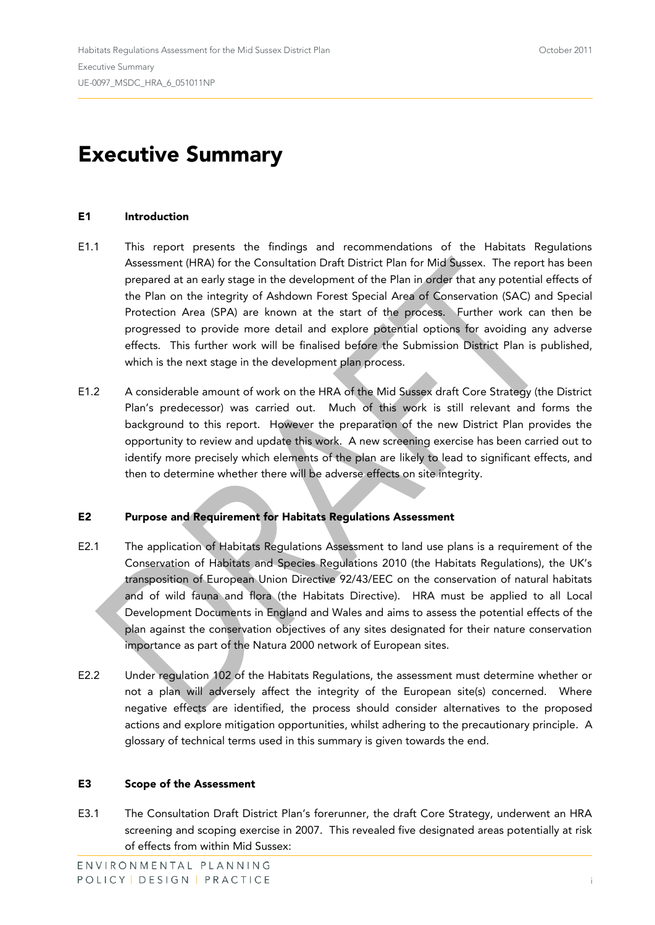# **Executive Summary**

#### **E1 Introduction**

- E1.1 This report presents the findings and recommendations of the Habitats Regulations Assessment (HRA) for the Consultation Draft District Plan for Mid Sussex. The report has been prepared at an early stage in the development of the Plan in order that any potential effects of the Plan on the integrity of Ashdown Forest Special Area of Conservation (SAC) and Special Protection Area (SPA) are known at the start of the process. Further work can then be progressed to provide more detail and explore potential options for avoiding any adverse effects. This further work will be finalised before the Submission District Plan is published, which is the next stage in the development plan process.
- E1.2 A considerable amount of work on the HRA of the Mid Sussex draft Core Strategy (the District Plan's predecessor) was carried out. Much of this work is still relevant and forms the background to this report. However the preparation of the new District Plan provides the opportunity to review and update this work. A new screening exercise has been carried out to identify more precisely which elements of the plan are likely to lead to significant effects, and then to determine whether there will be adverse effects on site integrity.

## **E2 Purpose and Requirement for Habitats Regulations Assessment**

- E2.1 The application of Habitats Regulations Assessment to land use plans is a requirement of the Conservation of Habitats and Species Regulations 2010 (the Habitats Regulations), the UK's transposition of European Union Directive 92/43/EEC on the conservation of natural habitats and of wild fauna and flora (the Habitats Directive). HRA must be applied to all Local Development Documents in England and Wales and aims to assess the potential effects of the plan against the conservation objectives of any sites designated for their nature conservation importance as part of the Natura 2000 network of European sites.
- E2.2 Under regulation 102 of the Habitats Regulations, the assessment must determine whether or not a plan will adversely affect the integrity of the European site(s) concerned. Where negative effects are identified, the process should consider alternatives to the proposed actions and explore mitigation opportunities, whilst adhering to the precautionary principle. A glossary of technical terms used in this summary is given towards the end.

#### **E3 Scope of the Assessment**

E3.1 The Consultation Draft District Plan's forerunner, the draft Core Strategy, underwent an HRA screening and scoping exercise in 2007. This revealed five designated areas potentially at risk of effects from within Mid Sussex: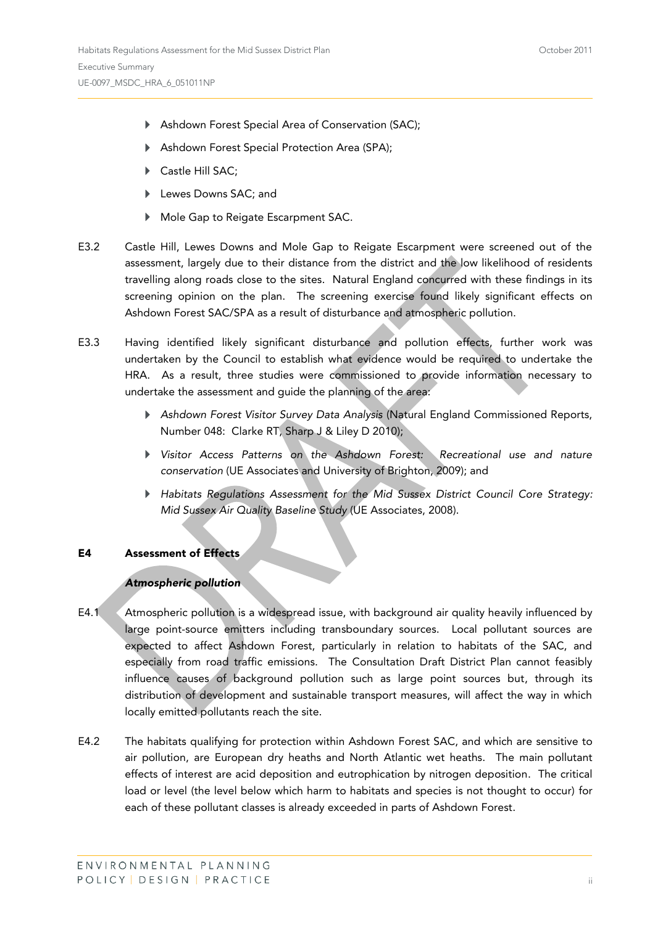- Ashdown Forest Special Area of Conservation (SAC);
- Ashdown Forest Special Protection Area (SPA);
- ▶ Castle Hill SAC;
- Lewes Downs SAC; and
- Mole Gap to Reigate Escarpment SAC.
- E3.2 Castle Hill, Lewes Downs and Mole Gap to Reigate Escarpment were screened out of the assessment, largely due to their distance from the district and the low likelihood of residents travelling along roads close to the sites. Natural England concurred with these findings in its screening opinion on the plan. The screening exercise found likely significant effects on Ashdown Forest SAC/SPA as a result of disturbance and atmospheric pollution.
- E3.3 Having identified likely significant disturbance and pollution effects, further work was undertaken by the Council to establish what evidence would be required to undertake the HRA. As a result, three studies were commissioned to provide information necessary to undertake the assessment and guide the planning of the area:
	- *Ashdown Forest Visitor Survey Data Analysis* (Natural England Commissioned Reports, Number 048: Clarke RT, Sharp J & Liley D 2010);
	- *Visitor Access Patterns on the Ashdown Forest: Recreational use and nature conservation* (UE Associates and University of Brighton, 2009); and
	- *Habitats Regulations Assessment for the Mid Sussex District Council Core Strategy: Mid Sussex Air Quality Baseline Study* (UE Associates, 2008).

#### **E4 Assessment of Effects**

#### *Atmospheric pollution*

- E4.1 Atmospheric pollution is a widespread issue, with background air quality heavily influenced by large point-source emitters including transboundary sources. Local pollutant sources are expected to affect Ashdown Forest, particularly in relation to habitats of the SAC, and especially from road traffic emissions. The Consultation Draft District Plan cannot feasibly influence causes of background pollution such as large point sources but, through its distribution of development and sustainable transport measures, will affect the way in which locally emitted pollutants reach the site.
- E4.2 The habitats qualifying for protection within Ashdown Forest SAC, and which are sensitive to air pollution, are European dry heaths and North Atlantic wet heaths. The main pollutant effects of interest are acid deposition and eutrophication by nitrogen deposition. The critical load or level (the level below which harm to habitats and species is not thought to occur) for each of these pollutant classes is already exceeded in parts of Ashdown Forest.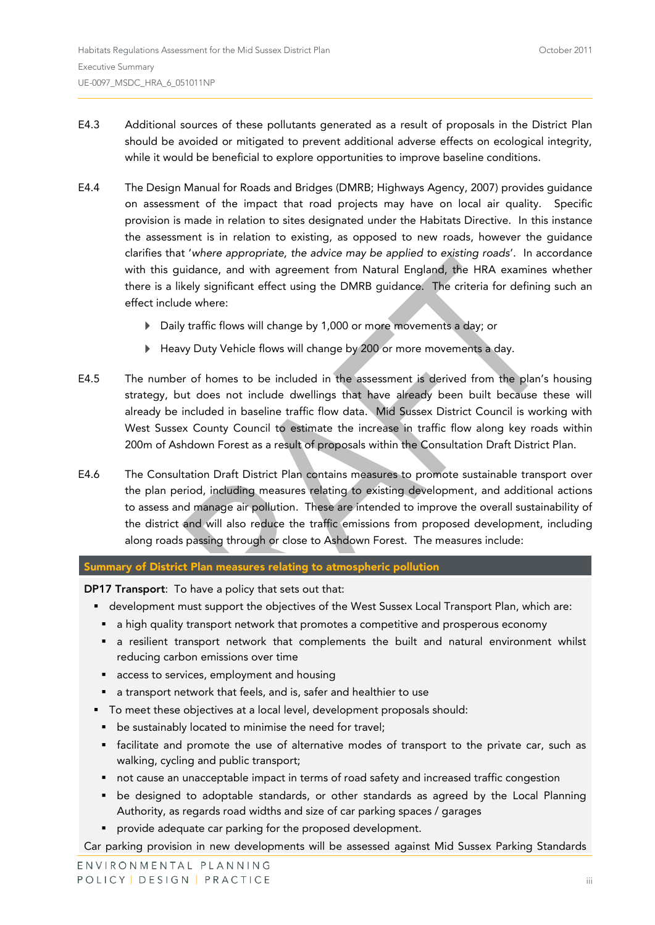- E4.3 Additional sources of these pollutants generated as a result of proposals in the District Plan should be avoided or mitigated to prevent additional adverse effects on ecological integrity, while it would be beneficial to explore opportunities to improve baseline conditions.
- E4.4 The Design Manual for Roads and Bridges (DMRB; Highways Agency, 2007) provides guidance on assessment of the impact that road projects may have on local air quality. Specific provision is made in relation to sites designated under the Habitats Directive. In this instance the assessment is in relation to existing, as opposed to new roads, however the guidance clarifies that '*where appropriate, the advice may be applied to existing roads*'. In accordance with this guidance, and with agreement from Natural England, the HRA examines whether there is a likely significant effect using the DMRB guidance. The criteria for defining such an effect include where:
	- Daily traffic flows will change by 1,000 or more movements a day; or
	- Heavy Duty Vehicle flows will change by 200 or more movements a day.
- E4.5 The number of homes to be included in the assessment is derived from the plan's housing strategy, but does not include dwellings that have already been built because these will already be included in baseline traffic flow data. Mid Sussex District Council is working with West Sussex County Council to estimate the increase in traffic flow along key roads within 200m of Ashdown Forest as a result of proposals within the Consultation Draft District Plan.
- E4.6 The Consultation Draft District Plan contains measures to promote sustainable transport over the plan period, including measures relating to existing development, and additional actions to assess and manage air pollution. These are intended to improve the overall sustainability of the district and will also reduce the traffic emissions from proposed development, including along roads passing through or close to Ashdown Forest. The measures include:

### **Summary of District Plan measures relating to atmospheric pollution**

**DP17 Transport**: To have a policy that sets out that:

- development must support the objectives of the West Sussex Local Transport Plan, which are:
	- **•** a high quality transport network that promotes a competitive and prosperous economy
	- a resilient transport network that complements the built and natural environment whilst reducing carbon emissions over time
	- access to services, employment and housing
- a transport network that feels, and is, safer and healthier to use
- To meet these objectives at a local level, development proposals should:
	- **•** be sustainably located to minimise the need for travel;
	- facilitate and promote the use of alternative modes of transport to the private car, such as walking, cycling and public transport;
	- not cause an unacceptable impact in terms of road safety and increased traffic congestion
	- be designed to adoptable standards, or other standards as agreed by the Local Planning Authority, as regards road widths and size of car parking spaces / garages
	- provide adequate car parking for the proposed development.

Car parking provision in new developments will be assessed against Mid Sussex Parking Standards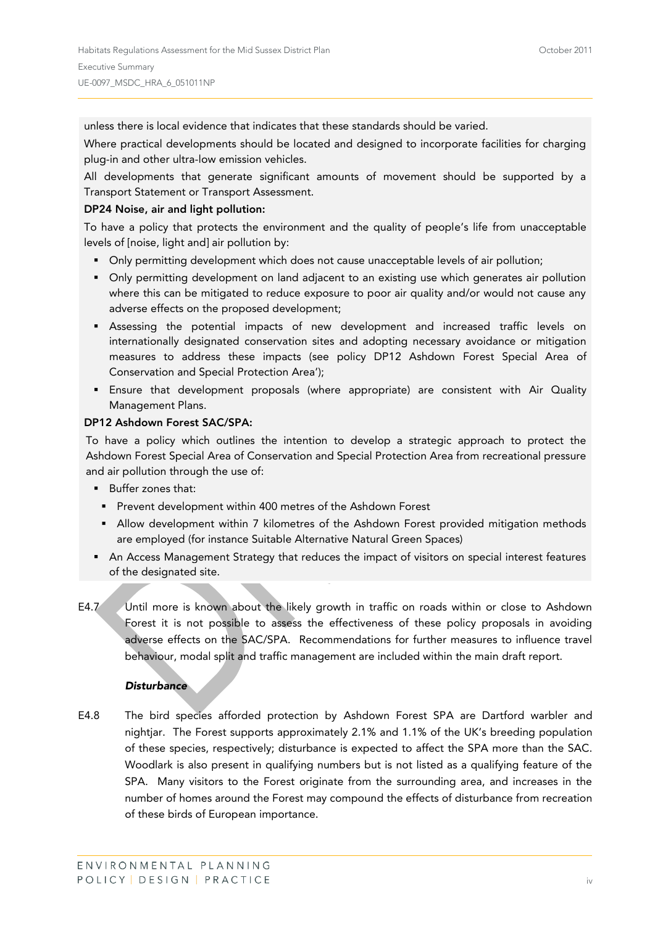unless there is local evidence that indicates that these standards should be varied.

Where practical developments should be located and designed to incorporate facilities for charging plug-in and other ultra-low emission vehicles.

All developments that generate significant amounts of movement should be supported by a Transport Statement or Transport Assessment.

#### **DP24 Noise, air and light pollution:**

To have a policy that protects the environment and the quality of people's life from unacceptable levels of [noise, light and] air pollution by:

- Only permitting development which does not cause unacceptable levels of air pollution;
- Only permitting development on land adjacent to an existing use which generates air pollution where this can be mitigated to reduce exposure to poor air quality and/or would not cause any adverse effects on the proposed development;
- Assessing the potential impacts of new development and increased traffic levels on internationally designated conservation sites and adopting necessary avoidance or mitigation measures to address these impacts (see policy DP12 Ashdown Forest Special Area of Conservation and Special Protection Area');
- Ensure that development proposals (where appropriate) are consistent with Air Quality Management Plans.

#### **DP12 Ashdown Forest SAC/SPA:**

To have a policy which outlines the intention to develop a strategic approach to protect the Ashdown Forest Special Area of Conservation and Special Protection Area from recreational pressure and air pollution through the use of:

- **Buffer zones that:** 
	- **Prevent development within 400 metres of the Ashdown Forest**
	- **Allow development within 7 kilometres of the Ashdown Forest provided mitigation methods** are employed (for instance Suitable Alternative Natural Green Spaces)
- **An Access Management Strategy that reduces the impact of visitors on special interest features** of the designated site.
- E4.7 Until more is known about the likely growth in traffic on roads within or close to Ashdown Forest it is not possible to assess the effectiveness of these policy proposals in avoiding adverse effects on the SAC/SPA. Recommendations for further measures to influence travel behaviour, modal split and traffic management are included within the main draft report.

#### *Disturbance*

E4.8 The bird species afforded protection by Ashdown Forest SPA are Dartford warbler and nightjar. The Forest supports approximately 2.1% and 1.1% of the UK's breeding population of these species, respectively; disturbance is expected to affect the SPA more than the SAC. Woodlark is also present in qualifying numbers but is not listed as a qualifying feature of the SPA. Many visitors to the Forest originate from the surrounding area, and increases in the number of homes around the Forest may compound the effects of disturbance from recreation of these birds of European importance.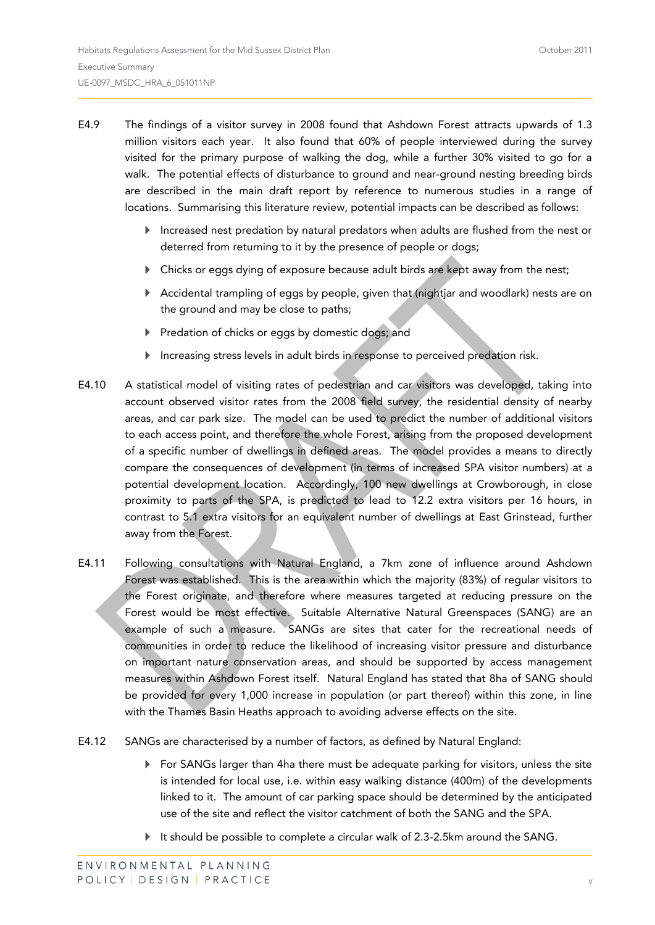- E4.9 The findings of a visitor survey in 2008 found that Ashdown Forest attracts upwards of 1.3 million visitors each year. It also found that 60% of people interviewed during the survey visited for the primary purpose of walking the dog, while a further 30% visited to go for a walk. The potential effects of disturbance to ground and near-ground nesting breeding birds are described in the main draft report by reference to numerous studies in a range of locations. Summarising this literature review, potential impacts can be described as follows:
	- Increased nest predation by natural predators when adults are flushed from the nest or deterred from returning to it by the presence of people or dogs;
	- Chicks or eggs dying of exposure because adult birds are kept away from the nest;
	- Accidental trampling of eggs by people, given that (nightjar and woodlark) nests are on the ground and may be close to paths;
	- Predation of chicks or eggs by domestic dogs; and
	- Increasing stress levels in adult birds in response to perceived predation risk.
- E4.10 A statistical model of visiting rates of pedestrian and car visitors was developed, taking into account observed visitor rates from the 2008 field survey, the residential density of nearby areas, and car park size. The model can be used to predict the number of additional visitors to each access point, and therefore the whole Forest, arising from the proposed development of a specific number of dwellings in defined areas. The model provides a means to directly compare the consequences of development (in terms of increased SPA visitor numbers) at a potential development location. Accordingly, 100 new dwellings at Crowborough, in close proximity to parts of the SPA, is predicted to lead to 12.2 extra visitors per 16 hours, in contrast to 5.1 extra visitors for an equivalent number of dwellings at East Grinstead, further away from the Forest.
- E4.11 Following consultations with Natural England, a 7km zone of influence around Ashdown Forest was established. This is the area within which the majority (83%) of regular visitors to the Forest originate, and therefore where measures targeted at reducing pressure on the Forest would be most effective. Suitable Alternative Natural Greenspaces (SANG) are an example of such a measure. SANGs are sites that cater for the recreational needs of communities in order to reduce the likelihood of increasing visitor pressure and disturbance on important nature conservation areas, and should be supported by access management measures within Ashdown Forest itself. Natural England has stated that 8ha of SANG should be provided for every 1,000 increase in population (or part thereof) within this zone, in line with the Thames Basin Heaths approach to avoiding adverse effects on the site.
- E4.12 SANGs are characterised by a number of factors, as defined by Natural England:
	- $\blacktriangleright$  For SANGs larger than 4ha there must be adequate parking for visitors, unless the site is intended for local use, i.e. within easy walking distance (400m) of the developments linked to it. The amount of car parking space should be determined by the anticipated use of the site and reflect the visitor catchment of both the SANG and the SPA.
	- It should be possible to complete a circular walk of 2.3-2.5km around the SANG.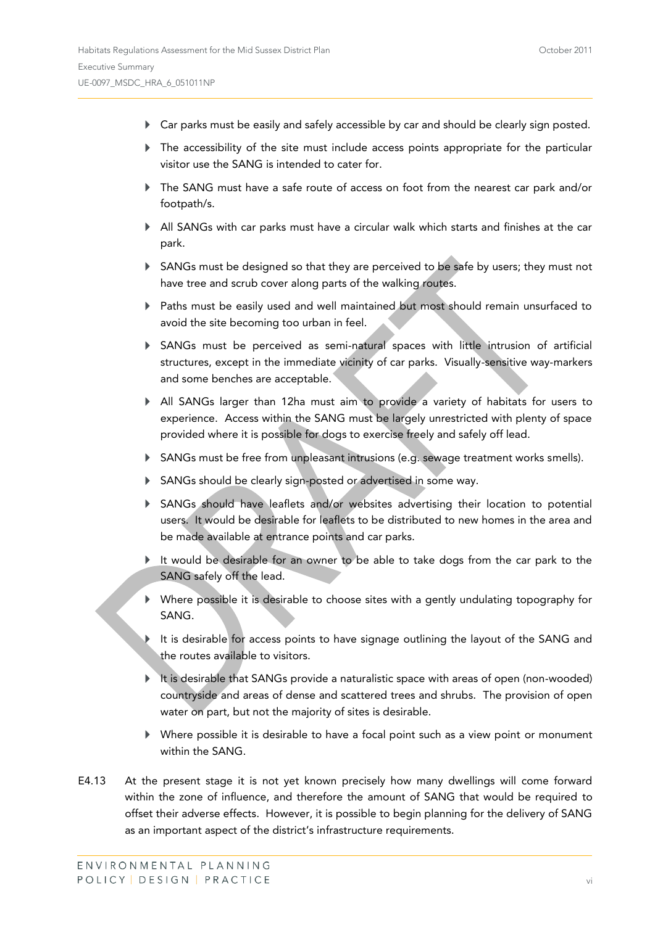- Car parks must be easily and safely accessible by car and should be clearly sign posted.
- The accessibility of the site must include access points appropriate for the particular visitor use the SANG is intended to cater for.
- The SANG must have a safe route of access on foot from the nearest car park and/or footpath/s.
- All SANGs with car parks must have a circular walk which starts and finishes at the car park.
- SANGs must be designed so that they are perceived to be safe by users; they must not have tree and scrub cover along parts of the walking routes.
- Paths must be easily used and well maintained but most should remain unsurfaced to avoid the site becoming too urban in feel.
- SANGs must be perceived as semi-natural spaces with little intrusion of artificial structures, except in the immediate vicinity of car parks. Visually-sensitive way-markers and some benches are acceptable.
- All SANGs larger than 12ha must aim to provide a variety of habitats for users to experience. Access within the SANG must be largely unrestricted with plenty of space provided where it is possible for dogs to exercise freely and safely off lead.
- SANGs must be free from unpleasant intrusions (e.g. sewage treatment works smells).
- SANGs should be clearly sign-posted or advertised in some way.
- SANGs should have leaflets and/or websites advertising their location to potential users. It would be desirable for leaflets to be distributed to new homes in the area and be made available at entrance points and car parks.
- It would be desirable for an owner to be able to take dogs from the car park to the SANG safely off the lead.
- Where possible it is desirable to choose sites with a gently undulating topography for SANG.
- It is desirable for access points to have signage outlining the layout of the SANG and the routes available to visitors.
- It is desirable that SANGs provide a naturalistic space with areas of open (non-wooded) countryside and areas of dense and scattered trees and shrubs. The provision of open water on part, but not the majority of sites is desirable.
- Where possible it is desirable to have a focal point such as a view point or monument within the SANG.
- E4.13 At the present stage it is not yet known precisely how many dwellings will come forward within the zone of influence, and therefore the amount of SANG that would be required to offset their adverse effects. However, it is possible to begin planning for the delivery of SANG as an important aspect of the district's infrastructure requirements.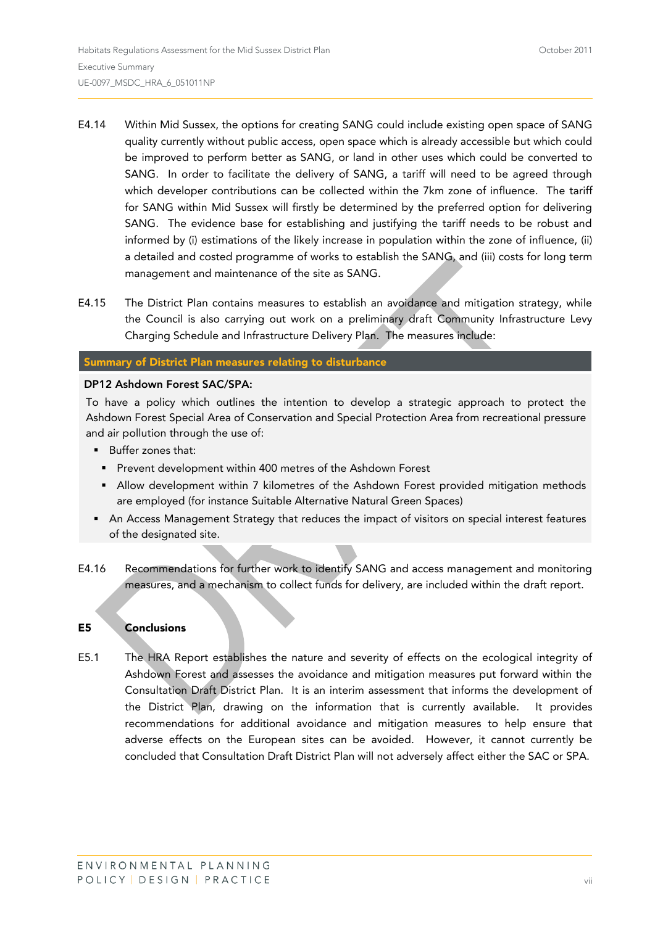- E4.14 Within Mid Sussex, the options for creating SANG could include existing open space of SANG quality currently without public access, open space which is already accessible but which could be improved to perform better as SANG, or land in other uses which could be converted to SANG. In order to facilitate the delivery of SANG, a tariff will need to be agreed through which developer contributions can be collected within the 7km zone of influence. The tariff for SANG within Mid Sussex will firstly be determined by the preferred option for delivering SANG. The evidence base for establishing and justifying the tariff needs to be robust and informed by (i) estimations of the likely increase in population within the zone of influence, (ii) a detailed and costed programme of works to establish the SANG, and (iii) costs for long term management and maintenance of the site as SANG.
- E4.15 The District Plan contains measures to establish an avoidance and mitigation strategy, while the Council is also carrying out work on a preliminary draft Community Infrastructure Levy Charging Schedule and Infrastructure Delivery Plan. The measures include:

#### **Summary of District Plan measures relating to disturbance**

#### **DP12 Ashdown Forest SAC/SPA:**

To have a policy which outlines the intention to develop a strategic approach to protect the Ashdown Forest Special Area of Conservation and Special Protection Area from recreational pressure and air pollution through the use of:

- **Buffer zones that:**
- **Prevent development within 400 metres of the Ashdown Forest**
- **Allow development within 7 kilometres of the Ashdown Forest provided mitigation methods** are employed (for instance Suitable Alternative Natural Green Spaces)
- **An Access Management Strategy that reduces the impact of visitors on special interest features** of the designated site.
- E4.16 Recommendations for further work to identify SANG and access management and monitoring measures, and a mechanism to collect funds for delivery, are included within the draft report.

#### **E5 Conclusions**

E5.1 The HRA Report establishes the nature and severity of effects on the ecological integrity of Ashdown Forest and assesses the avoidance and mitigation measures put forward within the Consultation Draft District Plan. It is an interim assessment that informs the development of the District Plan, drawing on the information that is currently available. It provides recommendations for additional avoidance and mitigation measures to help ensure that adverse effects on the European sites can be avoided. However, it cannot currently be concluded that Consultation Draft District Plan will not adversely affect either the SAC or SPA.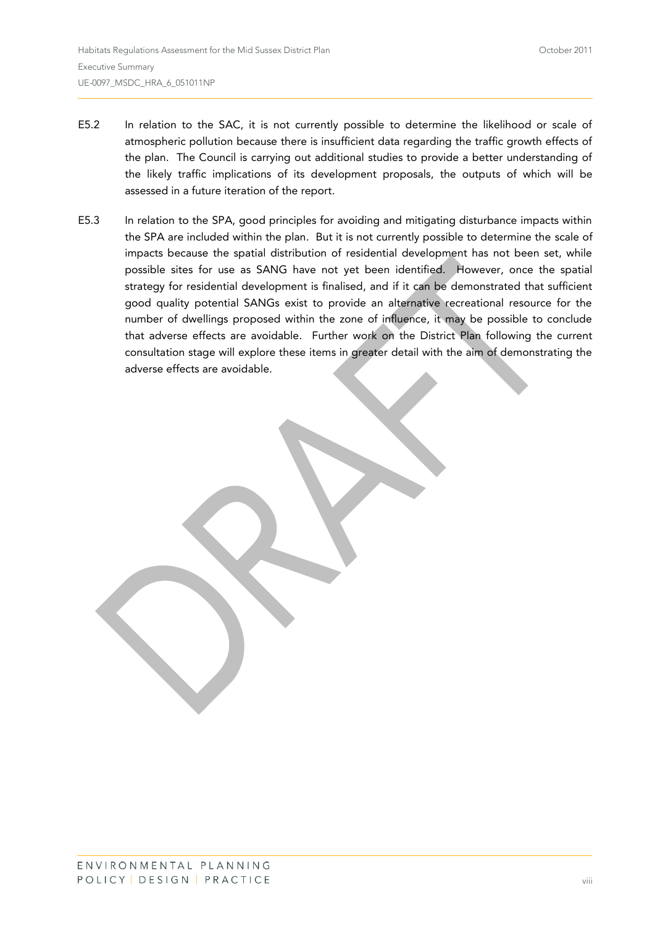- E5.2 In relation to the SAC, it is not currently possible to determine the likelihood or scale of atmospheric pollution because there is insufficient data regarding the traffic growth effects of the plan. The Council is carrying out additional studies to provide a better understanding of the likely traffic implications of its development proposals, the outputs of which will be assessed in a future iteration of the report.
- E5.3 In relation to the SPA, good principles for avoiding and mitigating disturbance impacts within the SPA are included within the plan. But it is not currently possible to determine the scale of impacts because the spatial distribution of residential development has not been set, while possible sites for use as SANG have not yet been identified. However, once the spatial strategy for residential development is finalised, and if it can be demonstrated that sufficient good quality potential SANGs exist to provide an alternative recreational resource for the number of dwellings proposed within the zone of influence, it may be possible to conclude that adverse effects are avoidable. Further work on the District Plan following the current consultation stage will explore these items in greater detail with the aim of demonstrating the adverse effects are avoidable.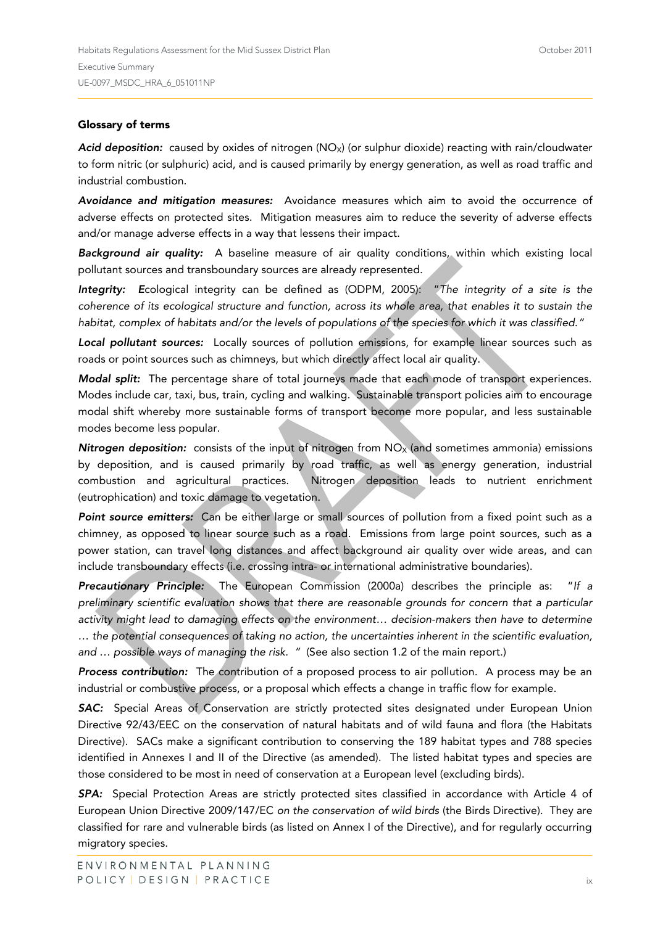#### **Glossary of terms**

Acid deposition: caused by oxides of nitrogen (NO<sub>X</sub>) (or sulphur dioxide) reacting with rain/cloudwater to form nitric (or sulphuric) acid, and is caused primarily by energy generation, as well as road traffic and industrial combustion.

*Avoidance and mitigation measures:* Avoidance measures which aim to avoid the occurrence of adverse effects on protected sites. Mitigation measures aim to reduce the severity of adverse effects and/or manage adverse effects in a way that lessens their impact.

*Background air quality:* A baseline measure of air quality conditions, within which existing local pollutant sources and transboundary sources are already represented.

*Integrity: E*cological integrity can be defined as (ODPM, 2005): "*The integrity of a site is the coherence of its ecological structure and function, across its whole area, that enables it to sustain the habitat, complex of habitats and/or the levels of populations of the species for which it was classified."*

*Local pollutant sources:* Locally sources of pollution emissions, for example linear sources such as roads or point sources such as chimneys, but which directly affect local air quality.

*Modal split:* The percentage share of total journeys made that each mode of transport experiences. Modes include car, taxi, bus, train, cycling and walking. Sustainable transport policies aim to encourage modal shift whereby more sustainable forms of transport become more popular, and less sustainable modes become less popular.

*Nitrogen deposition:* consists of the input of nitrogen from NO<sub>x</sub> (and sometimes ammonia) emissions by deposition, and is caused primarily by road traffic, as well as energy generation, industrial combustion and agricultural practices. Nitrogen deposition leads to nutrient enrichment (eutrophication) and toxic damage to vegetation.

*Point source emitters:* Can be either large or small sources of pollution from a fixed point such as a chimney, as opposed to linear source such as a road. Emissions from large point sources, such as a power station, can travel long distances and affect background air quality over wide areas, and can include transboundary effects (i.e. crossing intra- or international administrative boundaries).

*Precautionary Principle:* The European Commission (2000a) describes the principle as: "*If a preliminary scientific evaluation shows that there are reasonable grounds for concern that a particular activity might lead to damaging effects on the environment… decision-makers then have to determine … the potential consequences of taking no action, the uncertainties inherent in the scientific evaluation, and … possible ways of managing the risk. "* (See also section 1.2 of the main report.)

*Process contribution:* The contribution of a proposed process to air pollution. A process may be an industrial or combustive process, or a proposal which effects a change in traffic flow for example.

*SAC:* Special Areas of Conservation are strictly protected sites designated under European Union Directive 92/43/EEC on the conservation of natural habitats and of wild fauna and flora (the Habitats Directive). SACs make a significant contribution to conserving the 189 habitat types and 788 species identified in Annexes I and II of the Directive (as amended). The listed habitat types and species are those considered to be most in need of conservation at a European level (excluding birds).

*SPA:* Special Protection Areas are strictly protected sites classified in accordance with Article 4 of European Union Directive 2009/147/EC *on the conservation of wild birds* (the Birds Directive). They are classified for rare and vulnerable birds (as listed on Annex I of the Directive), and for regularly occurring migratory species.